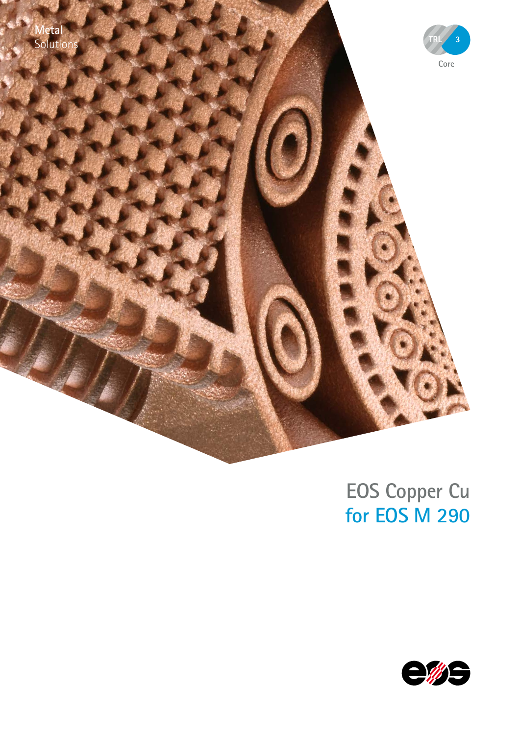



# **EOS Copper Cu for EOS M 290**